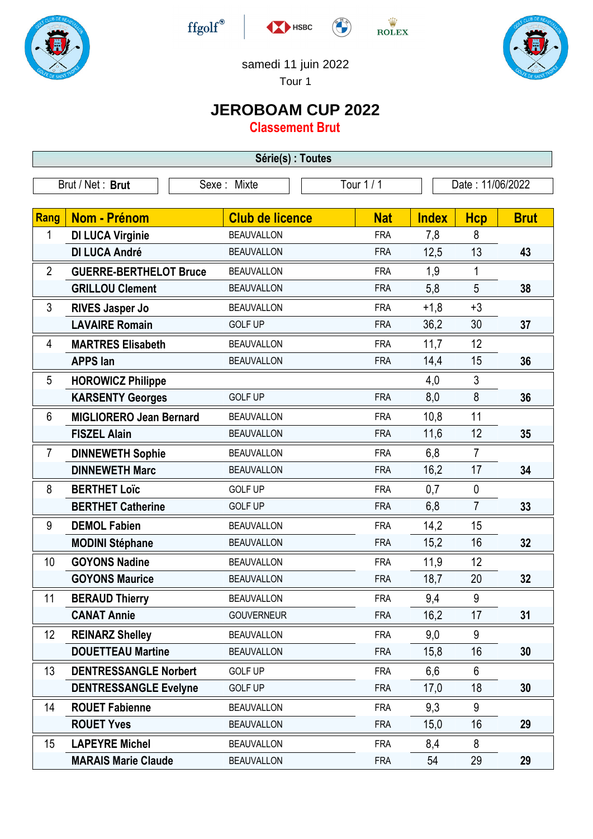





 $\stackrel{\text{W}}{\text{ROLEX}}$ 



samedi 11 juin 2022

Tour 1

## **JEROBOAM CUP 2022**

**Classement Brut**

| Série(s) : Toutes |                                 |                   |                        |            |              |                  |             |  |
|-------------------|---------------------------------|-------------------|------------------------|------------|--------------|------------------|-------------|--|
|                   | Brut / Net: Brut<br>Sexe: Mixte |                   |                        | Tour 1 / 1 |              | Date: 11/06/2022 |             |  |
| Rang              | Nom - Prénom                    |                   | <b>Club de licence</b> | <b>Nat</b> | <b>Index</b> | <b>Hcp</b>       | <b>Brut</b> |  |
| 1                 | <b>DI LUCA Virginie</b>         | <b>BEAUVALLON</b> |                        | <b>FRA</b> | 7,8          | 8                |             |  |
|                   | <b>DI LUCA André</b>            | <b>BEAUVALLON</b> |                        | <b>FRA</b> | 12,5         | 13               | 43          |  |
| $\overline{2}$    | <b>GUERRE-BERTHELOT Bruce</b>   | <b>BEAUVALLON</b> |                        | <b>FRA</b> | 1,9          | 1                |             |  |
|                   | <b>GRILLOU Clement</b>          | <b>BEAUVALLON</b> |                        | <b>FRA</b> | 5,8          | 5                | 38          |  |
| 3                 | <b>RIVES Jasper Jo</b>          | <b>BEAUVALLON</b> |                        | <b>FRA</b> | $+1,8$       | $+3$             |             |  |
|                   | <b>LAVAIRE Romain</b>           | <b>GOLF UP</b>    |                        | <b>FRA</b> | 36,2         | 30               | 37          |  |
| 4                 | <b>MARTRES Elisabeth</b>        | <b>BEAUVALLON</b> |                        | <b>FRA</b> | 11,7         | 12               |             |  |
|                   | <b>APPS</b> lan                 | <b>BEAUVALLON</b> |                        | <b>FRA</b> | 14,4         | 15               | 36          |  |
| 5                 | <b>HOROWICZ Philippe</b>        |                   |                        |            | 4,0          | 3                |             |  |
|                   | <b>KARSENTY Georges</b>         | <b>GOLF UP</b>    |                        | <b>FRA</b> | 8,0          | 8                | 36          |  |
| 6                 | <b>MIGLIORERO Jean Bernard</b>  | <b>BEAUVALLON</b> |                        | <b>FRA</b> | 10,8         | 11               |             |  |
|                   | <b>FISZEL Alain</b>             | <b>BEAUVALLON</b> |                        | <b>FRA</b> | 11,6         | 12               | 35          |  |
| $\overline{7}$    | <b>DINNEWETH Sophie</b>         | <b>BEAUVALLON</b> |                        | <b>FRA</b> | 6,8          | $\overline{7}$   |             |  |
|                   | <b>DINNEWETH Marc</b>           | <b>BEAUVALLON</b> |                        | <b>FRA</b> | 16,2         | 17               | 34          |  |
| 8                 | <b>BERTHET Loïc</b>             | <b>GOLF UP</b>    |                        | <b>FRA</b> | 0,7          | $\mathbf 0$      |             |  |
|                   | <b>BERTHET Catherine</b>        | <b>GOLF UP</b>    |                        | <b>FRA</b> | 6,8          | $\overline{7}$   | 33          |  |
| 9                 | <b>DEMOL Fabien</b>             | <b>BEAUVALLON</b> |                        | <b>FRA</b> | 14,2         | 15               |             |  |
|                   | <b>MODINI Stéphane</b>          | <b>BEAUVALLON</b> |                        | <b>FRA</b> | 15,2         | 16               | 32          |  |
| 10                | <b>GOYONS Nadine</b>            | <b>BEAUVALLON</b> |                        | <b>FRA</b> | 11,9         | 12               |             |  |
|                   | <b>GOYONS Maurice</b>           | <b>BEAUVALLON</b> |                        | <b>FRA</b> | 18,7         | 20               | 32          |  |
| 11                | <b>BERAUD Thierry</b>           | <b>BEAUVALLON</b> |                        | <b>FRA</b> | 9,4          | 9                |             |  |
|                   | <b>CANAT Annie</b>              |                   | <b>GOUVERNEUR</b>      | <b>FRA</b> | 16,2         | 17               | 31          |  |
| 12                | <b>REINARZ Shelley</b>          | <b>BEAUVALLON</b> |                        | <b>FRA</b> | 9,0          | 9                |             |  |
|                   | <b>DOUETTEAU Martine</b>        | <b>BEAUVALLON</b> |                        | <b>FRA</b> | 15,8         | 16               | 30          |  |
| 13                | <b>DENTRESSANGLE Norbert</b>    | <b>GOLF UP</b>    |                        | <b>FRA</b> | 6,6          | 6                |             |  |
|                   | <b>DENTRESSANGLE Evelyne</b>    | <b>GOLF UP</b>    |                        | <b>FRA</b> | 17,0         | 18               | 30          |  |
| 14                | <b>ROUET Fabienne</b>           | <b>BEAUVALLON</b> |                        | <b>FRA</b> | 9,3          | 9                |             |  |
|                   | <b>ROUET Yves</b>               | <b>BEAUVALLON</b> |                        | <b>FRA</b> | 15,0         | 16               | 29          |  |
| 15                | <b>LAPEYRE Michel</b>           | <b>BEAUVALLON</b> |                        | <b>FRA</b> | 8,4          | 8                |             |  |
|                   | <b>MARAIS Marie Claude</b>      |                   | <b>BEAUVALLON</b>      | <b>FRA</b> | 54           | 29               | 29          |  |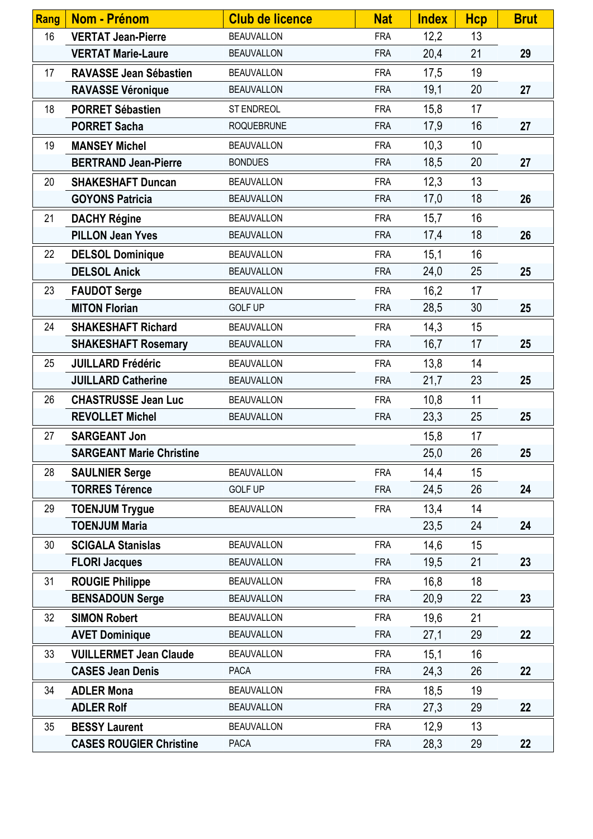| <b>Rang</b> | <b>Nom - Prénom</b>             | <b>Club de licence</b> | <b>Nat</b> | <b>Index</b> | <b>Hcp</b> | <b>Brut</b> |
|-------------|---------------------------------|------------------------|------------|--------------|------------|-------------|
| 16          | <b>VERTAT Jean-Pierre</b>       | <b>BEAUVALLON</b>      | <b>FRA</b> | 12,2         | 13         |             |
|             | <b>VERTAT Marie-Laure</b>       | <b>BEAUVALLON</b>      | <b>FRA</b> | 20,4         | 21         | 29          |
| 17          | <b>RAVASSE Jean Sébastien</b>   | <b>BEAUVALLON</b>      | <b>FRA</b> | 17,5         | 19         |             |
|             | <b>RAVASSE Véronique</b>        | <b>BEAUVALLON</b>      | <b>FRA</b> | 19,1         | 20         | 27          |
| 18          | <b>PORRET Sébastien</b>         | ST ENDREOL             | <b>FRA</b> | 15,8         | 17         |             |
|             | <b>PORRET Sacha</b>             | <b>ROQUEBRUNE</b>      | <b>FRA</b> | 17,9         | 16         | 27          |
| 19          | <b>MANSEY Michel</b>            | <b>BEAUVALLON</b>      | <b>FRA</b> | 10,3         | 10         |             |
|             | <b>BERTRAND Jean-Pierre</b>     | <b>BONDUES</b>         | <b>FRA</b> | 18,5         | 20         | 27          |
| 20          | <b>SHAKESHAFT Duncan</b>        | <b>BEAUVALLON</b>      | <b>FRA</b> | 12,3         | 13         |             |
|             | <b>GOYONS Patricia</b>          | <b>BEAUVALLON</b>      | <b>FRA</b> | 17,0         | 18         | 26          |
| 21          | <b>DACHY Régine</b>             | <b>BEAUVALLON</b>      | <b>FRA</b> | 15,7         | 16         |             |
|             | <b>PILLON Jean Yves</b>         | <b>BEAUVALLON</b>      | <b>FRA</b> | 17,4         | 18         | 26          |
| 22          | <b>DELSOL Dominique</b>         | <b>BEAUVALLON</b>      | <b>FRA</b> | 15,1         | 16         |             |
|             | <b>DELSOL Anick</b>             | <b>BEAUVALLON</b>      | <b>FRA</b> | 24,0         | 25         | 25          |
| 23          | <b>FAUDOT Serge</b>             | <b>BEAUVALLON</b>      | <b>FRA</b> | 16,2         | 17         |             |
|             | <b>MITON Florian</b>            | <b>GOLF UP</b>         | <b>FRA</b> | 28,5         | 30         | 25          |
| 24          | <b>SHAKESHAFT Richard</b>       | <b>BEAUVALLON</b>      | <b>FRA</b> | 14,3         | 15         |             |
|             | <b>SHAKESHAFT Rosemary</b>      | <b>BEAUVALLON</b>      | <b>FRA</b> | 16,7         | 17         | 25          |
| 25          | <b>JUILLARD Frédéric</b>        | <b>BEAUVALLON</b>      | <b>FRA</b> | 13,8         | 14         |             |
|             | <b>JUILLARD Catherine</b>       | <b>BEAUVALLON</b>      | <b>FRA</b> | 21,7         | 23         | 25          |
| 26          | <b>CHASTRUSSE Jean Luc</b>      | <b>BEAUVALLON</b>      | <b>FRA</b> | 10,8         | 11         |             |
|             | <b>REVOLLET Michel</b>          | <b>BEAUVALLON</b>      | <b>FRA</b> | 23,3         | 25         | 25          |
| 27          | <b>SARGEANT Jon</b>             |                        |            | 15,8         | 17         |             |
|             | <b>SARGEANT Marie Christine</b> |                        |            | 25,0         | 26         | 25          |
| 28          | <b>SAULNIER Serge</b>           | <b>BEAUVALLON</b>      | <b>FRA</b> | 14,4         | 15         |             |
|             | <b>TORRES Térence</b>           | <b>GOLF UP</b>         | <b>FRA</b> | 24,5         | 26         | 24          |
| 29          | <b>TOENJUM Trygue</b>           | <b>BEAUVALLON</b>      | <b>FRA</b> | 13,4         | 14         |             |
|             | <b>TOENJUM Maria</b>            |                        |            | 23,5         | 24         | 24          |
| 30          | <b>SCIGALA Stanislas</b>        | <b>BEAUVALLON</b>      | <b>FRA</b> | 14,6         | 15         |             |
|             | <b>FLORI Jacques</b>            | <b>BEAUVALLON</b>      | <b>FRA</b> | 19,5         | 21         | 23          |
| 31          | <b>ROUGIE Philippe</b>          | <b>BEAUVALLON</b>      | <b>FRA</b> | 16,8         | 18         |             |
|             | <b>BENSADOUN Serge</b>          | <b>BEAUVALLON</b>      | <b>FRA</b> | 20,9         | 22         | 23          |
| 32          | <b>SIMON Robert</b>             | <b>BEAUVALLON</b>      | <b>FRA</b> | 19,6         | 21         |             |
|             | <b>AVET Dominique</b>           | <b>BEAUVALLON</b>      | <b>FRA</b> | 27,1         | 29         | 22          |
| 33          | <b>VUILLERMET Jean Claude</b>   | <b>BEAUVALLON</b>      | <b>FRA</b> | 15,1         | 16         |             |
|             | <b>CASES Jean Denis</b>         | <b>PACA</b>            | <b>FRA</b> | 24,3         | 26         | 22          |
| 34          | <b>ADLER Mona</b>               | <b>BEAUVALLON</b>      | <b>FRA</b> | 18,5         | 19         |             |
|             | <b>ADLER Rolf</b>               | <b>BEAUVALLON</b>      | <b>FRA</b> | 27,3         | 29         | 22          |
| 35          | <b>BESSY Laurent</b>            | <b>BEAUVALLON</b>      | <b>FRA</b> | 12,9         | 13         |             |
|             | <b>CASES ROUGIER Christine</b>  | PACA                   | <b>FRA</b> | 28,3         | 29         | 22          |